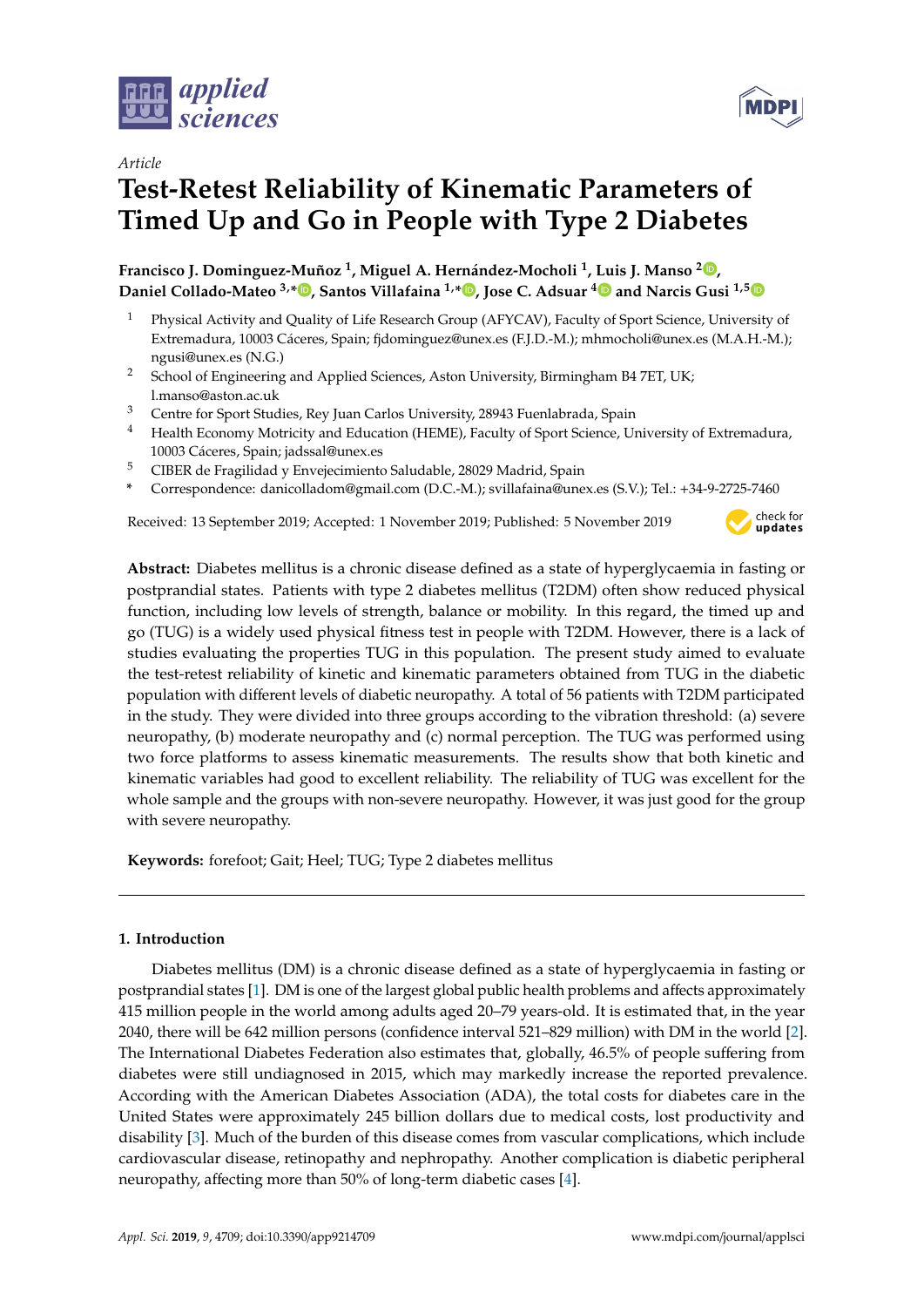

*Article*

# **Test-Retest Reliability of Kinematic Parameters of Timed Up and Go in People with Type 2 Diabetes**

**Francisco J. Dominguez-Muñoz <sup>1</sup> , Miguel A. Hernández-Mocholi <sup>1</sup> , Luis J. Manso <sup>2</sup> [,](https://orcid.org/0000-0003-2616-1120) Daniel Collado-Mateo 3,\* [,](https://orcid.org/0000-0002-5140-465X) Santos Villafaina 1,\* [,](https://orcid.org/0000-0003-0784-1753) Jose C. Adsuar [4](https://orcid.org/0000-0001-7203-3168) and Narcis Gusi 1,[5](https://orcid.org/0000-0002-1001-8883)**

- <sup>1</sup> Physical Activity and Quality of Life Research Group (AFYCAV), Faculty of Sport Science, University of Extremadura, 10003 Cáceres, Spain; fjdominguez@unex.es (F.J.D.-M.); mhmocholi@unex.es (M.A.H.-M.); ngusi@unex.es (N.G.)
- <sup>2</sup> School of Engineering and Applied Sciences, Aston University, Birmingham B4 7ET, UK; l.manso@aston.ac.uk
- <sup>3</sup> Centre for Sport Studies, Rey Juan Carlos University, 28943 Fuenlabrada, Spain
- <sup>4</sup> Health Economy Motricity and Education (HEME), Faculty of Sport Science, University of Extremadura, 10003 Cáceres, Spain; jadssal@unex.es
- <sup>5</sup> CIBER de Fragilidad y Envejecimiento Saludable, 28029 Madrid, Spain
- **\*** Correspondence: danicolladom@gmail.com (D.C.-M.); svillafaina@unex.es (S.V.); Tel.: +34-9-2725-7460

Received: 13 September 2019; Accepted: 1 November 2019; Published: 5 November 2019



**MDP** 

**Abstract:** Diabetes mellitus is a chronic disease defined as a state of hyperglycaemia in fasting or postprandial states. Patients with type 2 diabetes mellitus (T2DM) often show reduced physical function, including low levels of strength, balance or mobility. In this regard, the timed up and go (TUG) is a widely used physical fitness test in people with T2DM. However, there is a lack of studies evaluating the properties TUG in this population. The present study aimed to evaluate the test-retest reliability of kinetic and kinematic parameters obtained from TUG in the diabetic population with different levels of diabetic neuropathy. A total of 56 patients with T2DM participated in the study. They were divided into three groups according to the vibration threshold: (a) severe neuropathy, (b) moderate neuropathy and (c) normal perception. The TUG was performed using two force platforms to assess kinematic measurements. The results show that both kinetic and kinematic variables had good to excellent reliability. The reliability of TUG was excellent for the whole sample and the groups with non-severe neuropathy. However, it was just good for the group with severe neuropathy.

**Keywords:** forefoot; Gait; Heel; TUG; Type 2 diabetes mellitus

# **1. Introduction**

Diabetes mellitus (DM) is a chronic disease defined as a state of hyperglycaemia in fasting or postprandial states [\[1\]](#page-7-0). DM is one of the largest global public health problems and affects approximately 415 million people in the world among adults aged 20–79 years-old. It is estimated that, in the year 2040, there will be 642 million persons (confidence interval 521–829 million) with DM in the world [\[2\]](#page-7-1). The International Diabetes Federation also estimates that, globally, 46.5% of people suffering from diabetes were still undiagnosed in 2015, which may markedly increase the reported prevalence. According with the American Diabetes Association (ADA), the total costs for diabetes care in the United States were approximately 245 billion dollars due to medical costs, lost productivity and disability [\[3\]](#page-7-2). Much of the burden of this disease comes from vascular complications, which include cardiovascular disease, retinopathy and nephropathy. Another complication is diabetic peripheral neuropathy, affecting more than 50% of long-term diabetic cases [\[4\]](#page-7-3).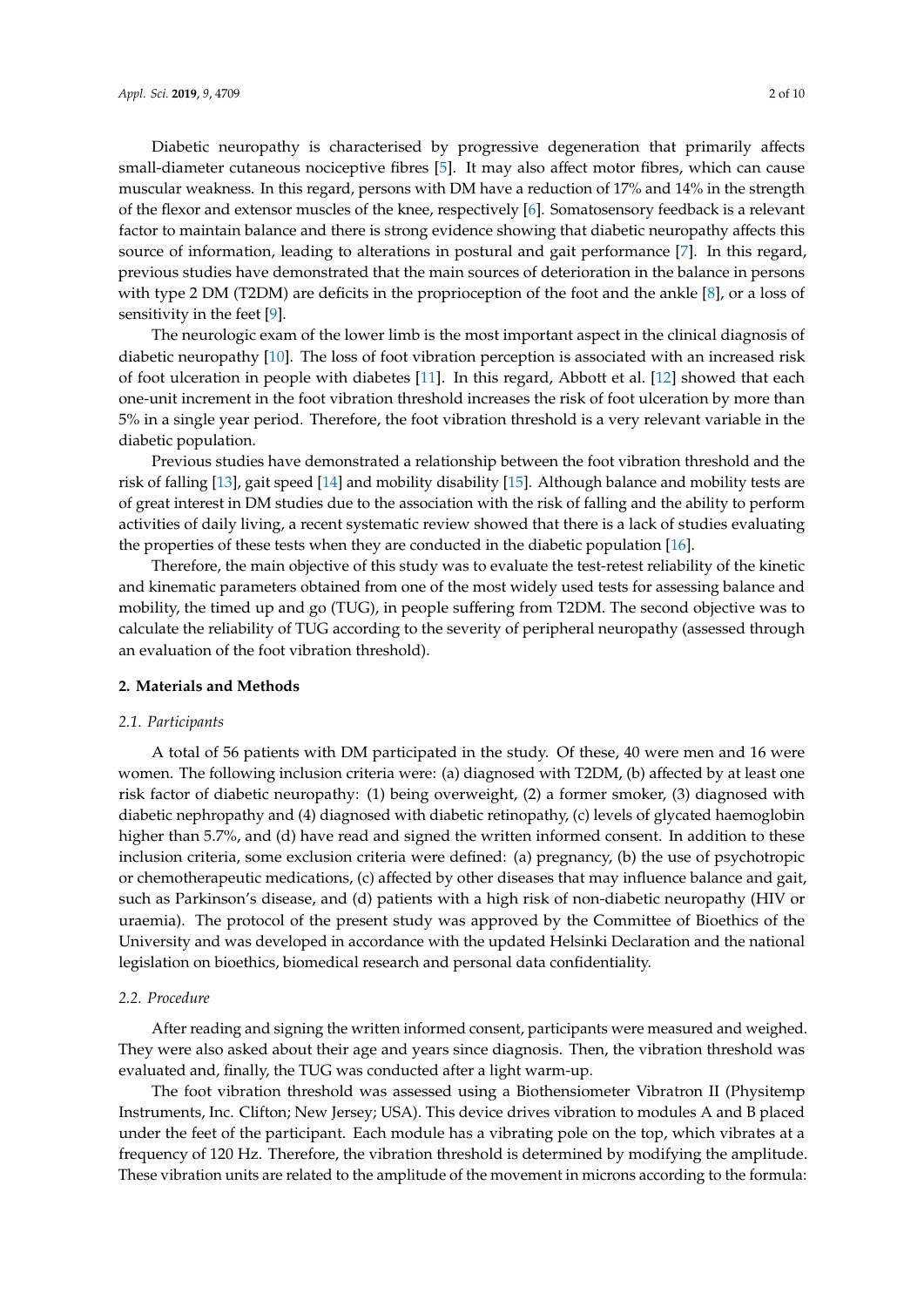Diabetic neuropathy is characterised by progressive degeneration that primarily affects

small-diameter cutaneous nociceptive fibres [\[5\]](#page-8-0). It may also affect motor fibres, which can cause muscular weakness. In this regard, persons with DM have a reduction of 17% and 14% in the strength of the flexor and extensor muscles of the knee, respectively [\[6\]](#page-8-1). Somatosensory feedback is a relevant factor to maintain balance and there is strong evidence showing that diabetic neuropathy affects this source of information, leading to alterations in postural and gait performance [\[7\]](#page-8-2). In this regard, previous studies have demonstrated that the main sources of deterioration in the balance in persons with type 2 DM (T2DM) are deficits in the proprioception of the foot and the ankle [\[8\]](#page-8-3), or a loss of sensitivity in the feet [\[9\]](#page-8-4).

The neurologic exam of the lower limb is the most important aspect in the clinical diagnosis of diabetic neuropathy [\[10\]](#page-8-5). The loss of foot vibration perception is associated with an increased risk of foot ulceration in people with diabetes [\[11\]](#page-8-6). In this regard, Abbott et al. [\[12\]](#page-8-7) showed that each one-unit increment in the foot vibration threshold increases the risk of foot ulceration by more than 5% in a single year period. Therefore, the foot vibration threshold is a very relevant variable in the diabetic population.

Previous studies have demonstrated a relationship between the foot vibration threshold and the risk of falling [\[13\]](#page-8-8), gait speed [\[14\]](#page-8-9) and mobility disability [\[15\]](#page-8-10). Although balance and mobility tests are of great interest in DM studies due to the association with the risk of falling and the ability to perform activities of daily living, a recent systematic review showed that there is a lack of studies evaluating the properties of these tests when they are conducted in the diabetic population [\[16\]](#page-8-11).

Therefore, the main objective of this study was to evaluate the test-retest reliability of the kinetic and kinematic parameters obtained from one of the most widely used tests for assessing balance and mobility, the timed up and go (TUG), in people suffering from T2DM. The second objective was to calculate the reliability of TUG according to the severity of peripheral neuropathy (assessed through an evaluation of the foot vibration threshold).

## **2. Materials and Methods**

#### *2.1. Participants*

A total of 56 patients with DM participated in the study. Of these, 40 were men and 16 were women. The following inclusion criteria were: (a) diagnosed with T2DM, (b) affected by at least one risk factor of diabetic neuropathy: (1) being overweight, (2) a former smoker, (3) diagnosed with diabetic nephropathy and (4) diagnosed with diabetic retinopathy, (c) levels of glycated haemoglobin higher than 5.7%, and (d) have read and signed the written informed consent. In addition to these inclusion criteria, some exclusion criteria were defined: (a) pregnancy, (b) the use of psychotropic or chemotherapeutic medications, (c) affected by other diseases that may influence balance and gait, such as Parkinson's disease, and (d) patients with a high risk of non-diabetic neuropathy (HIV or uraemia). The protocol of the present study was approved by the Committee of Bioethics of the University and was developed in accordance with the updated Helsinki Declaration and the national legislation on bioethics, biomedical research and personal data confidentiality.

#### *2.2. Procedure*

After reading and signing the written informed consent, participants were measured and weighed. They were also asked about their age and years since diagnosis. Then, the vibration threshold was evaluated and, finally, the TUG was conducted after a light warm-up.

The foot vibration threshold was assessed using a Biothensiometer Vibratron II (Physitemp Instruments, Inc. Clifton; New Jersey; USA). This device drives vibration to modules A and B placed under the feet of the participant. Each module has a vibrating pole on the top, which vibrates at a frequency of 120 Hz. Therefore, the vibration threshold is determined by modifying the amplitude. These vibration units are related to the amplitude of the movement in microns according to the formula: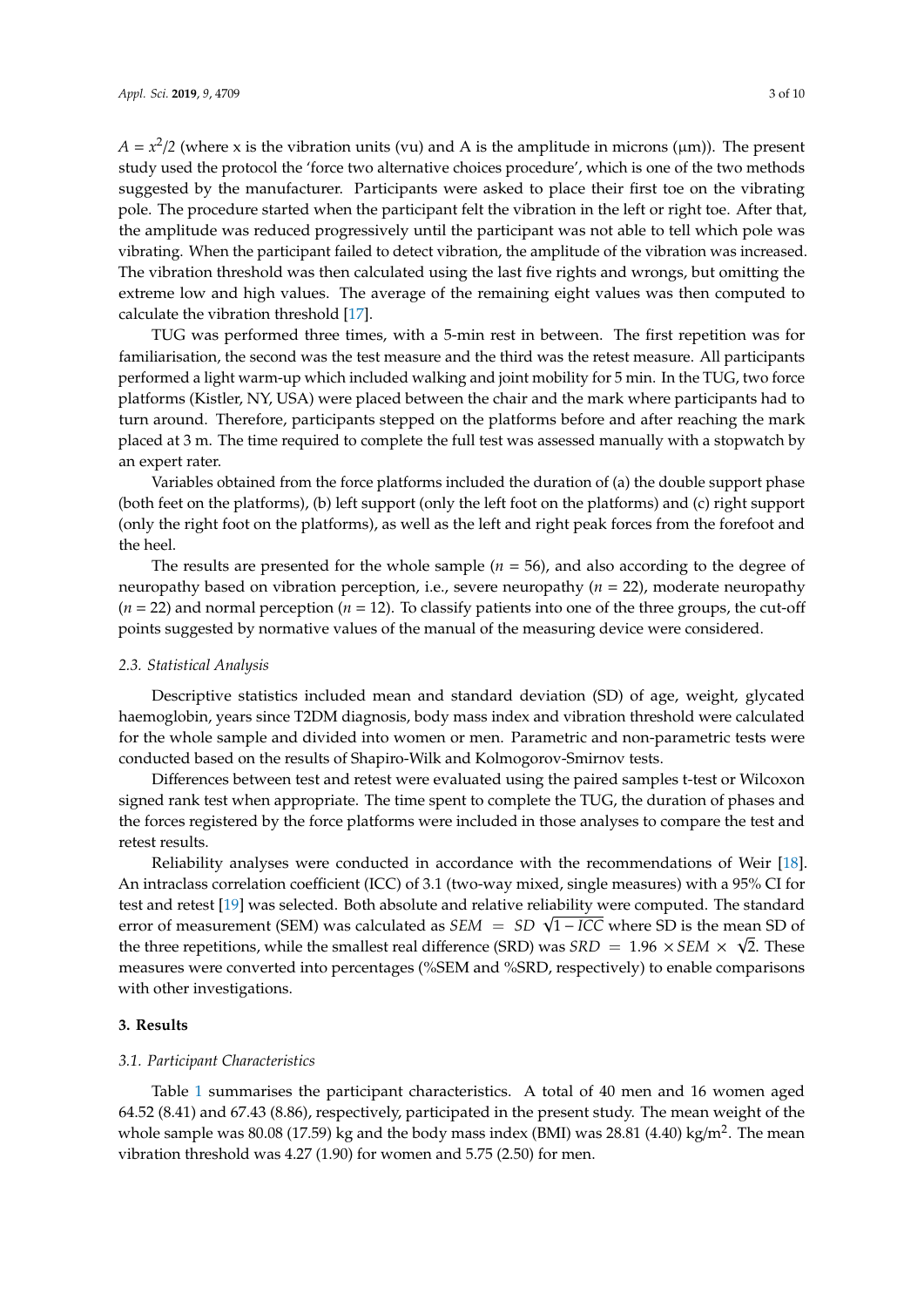$A = x^2/2$  (where x is the vibration units (vu) and A is the amplitude in microns ( $\mu$ m)). The present study used the protocol the 'force two alternative choices procedure', which is one of the two methods suggested by the manufacturer. Participants were asked to place their first toe on the vibrating pole. The procedure started when the participant felt the vibration in the left or right toe. After that, the amplitude was reduced progressively until the participant was not able to tell which pole was vibrating. When the participant failed to detect vibration, the amplitude of the vibration was increased. The vibration threshold was then calculated using the last five rights and wrongs, but omitting the extreme low and high values. The average of the remaining eight values was then computed to calculate the vibration threshold [\[17\]](#page-8-12).

TUG was performed three times, with a 5-min rest in between. The first repetition was for familiarisation, the second was the test measure and the third was the retest measure. All participants performed a light warm-up which included walking and joint mobility for 5 min. In the TUG, two force platforms (Kistler, NY, USA) were placed between the chair and the mark where participants had to turn around. Therefore, participants stepped on the platforms before and after reaching the mark placed at 3 m. The time required to complete the full test was assessed manually with a stopwatch by an expert rater.

Variables obtained from the force platforms included the duration of (a) the double support phase (both feet on the platforms), (b) left support (only the left foot on the platforms) and (c) right support (only the right foot on the platforms), as well as the left and right peak forces from the forefoot and the heel.

The results are presented for the whole sample  $(n = 56)$ , and also according to the degree of neuropathy based on vibration perception, i.e., severe neuropathy (*n* = 22), moderate neuropathy  $(n = 22)$  and normal perception  $(n = 12)$ . To classify patients into one of the three groups, the cut-off points suggested by normative values of the manual of the measuring device were considered.

#### *2.3. Statistical Analysis*

Descriptive statistics included mean and standard deviation (SD) of age, weight, glycated haemoglobin, years since T2DM diagnosis, body mass index and vibration threshold were calculated for the whole sample and divided into women or men. Parametric and non-parametric tests were conducted based on the results of Shapiro-Wilk and Kolmogorov-Smirnov tests.

Differences between test and retest were evaluated using the paired samples t-test or Wilcoxon signed rank test when appropriate. The time spent to complete the TUG, the duration of phases and the forces registered by the force platforms were included in those analyses to compare the test and retest results.

Reliability analyses were conducted in accordance with the recommendations of Weir [\[18\]](#page-8-13). An intraclass correlation coefficient (ICC) of 3.1 (two-way mixed, single measures) with a 95% CI for test and retest [\[19\]](#page-8-14) was selected. Both absolute and relative reliability were computed. The standard test and retest [19] was selected. Both absolute and relative reliability were computed. The standard<br>error of measurement (SEM) was calculated as *SEM* = *SD* √1−*ICC* where SD is the mean SD of the three repetitions, while the smallest real difference (SRD) was  $SRD = 1.96 \times SEM \times \sqrt{2}$ . These measures were converted into percentages (%SEM and %SRD, respectively) to enable comparisons with other investigations.

## **3. Results**

#### *3.1. Participant Characteristics*

Table [1](#page-3-0) summarises the participant characteristics. A total of 40 men and 16 women aged 64.52 (8.41) and 67.43 (8.86), respectively, participated in the present study. The mean weight of the whole sample was 80.08 (17.59) kg and the body mass index (BMI) was 28.81 (4.40) kg/m<sup>2</sup>. The mean vibration threshold was 4.27 (1.90) for women and 5.75 (2.50) for men.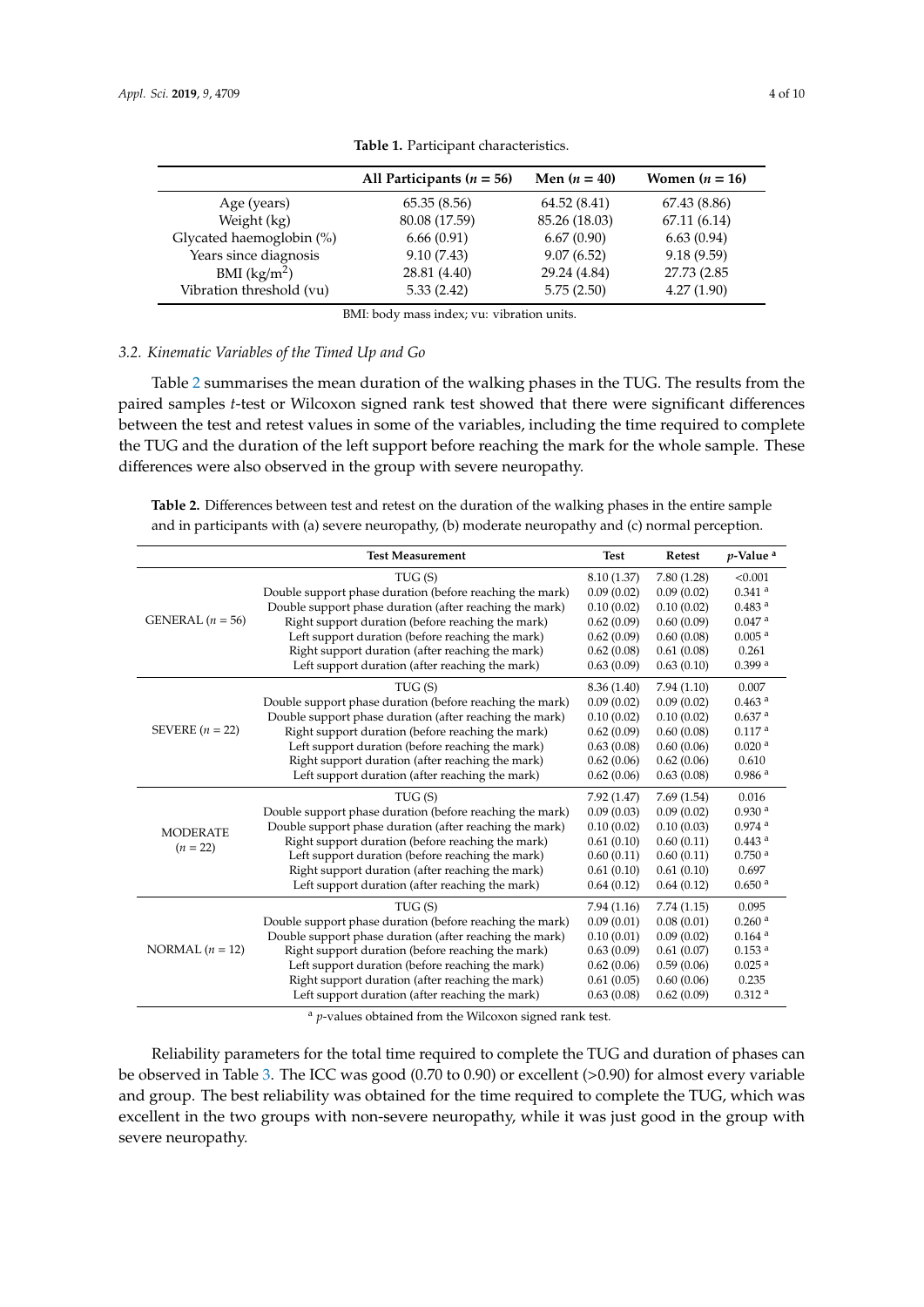<span id="page-3-0"></span>

|                          | All Participants ( $n = 56$ ) | Men $(n = 40)$ | Women $(n = 16)$ |
|--------------------------|-------------------------------|----------------|------------------|
| Age (years)              | 65.35(8.56)                   | 64.52(8.41)    | 67.43 (8.86)     |
| Weight (kg)              | 80.08 (17.59)                 | 85.26 (18.03)  | 67.11(6.14)      |
| Glycated haemoglobin (%) | 6.66(0.91)                    | 6.67(0.90)     | 6.63(0.94)       |
| Years since diagnosis    | 9.10(7.43)                    | 9.07(6.52)     | 9.18(9.59)       |
| BMI (kg/m <sup>2</sup> ) | 28.81 (4.40)                  | 29.24 (4.84)   | 27.73 (2.85)     |
| Vibration threshold (vu) | 5.33(2.42)                    | 5.75(2.50)     | 4.27(1.90)       |
|                          |                               |                |                  |

**Table 1.** Participant characteristics.

BMI: body mass index; vu: vibration units.

## *3.2. Kinematic Variables of the Timed Up and Go*

Table [2](#page-3-1) summarises the mean duration of the walking phases in the TUG. The results from the paired samples *t*-test or Wilcoxon signed rank test showed that there were significant differences between the test and retest values in some of the variables, including the time required to complete the TUG and the duration of the left support before reaching the mark for the whole sample. These differences were also observed in the group with severe neuropathy.

<span id="page-3-1"></span>**Table 2.** Differences between test and retest on the duration of the walking phases in the entire sample and in participants with (a) severe neuropathy, (b) moderate neuropathy and (c) normal perception.

|                    | <b>Test Measurement</b>                                  | <b>Test</b> | Retest     | $p$ -Value <sup>a</sup> |
|--------------------|----------------------------------------------------------|-------------|------------|-------------------------|
|                    | TUG(S)                                                   | 8.10 (1.37) | 7.80(1.28) | < 0.001                 |
|                    | Double support phase duration (before reaching the mark) | 0.09(0.02)  | 0.09(0.02) | $0.341$ <sup>a</sup>    |
|                    | Double support phase duration (after reaching the mark)  | 0.10(0.02)  | 0.10(0.02) | 0.483 <sup>a</sup>      |
| GENERAL $(n = 56)$ | Right support duration (before reaching the mark)        | 0.62(0.09)  | 0.60(0.09) | $0.047$ $^{\rm a}$      |
|                    | Left support duration (before reaching the mark)         | 0.62(0.09)  | 0.60(0.08) | 0.005 <sup>a</sup>      |
|                    | Right support duration (after reaching the mark)         | 0.62(0.08)  | 0.61(0.08) | 0.261                   |
|                    | Left support duration (after reaching the mark)          | 0.63(0.09)  | 0.63(0.10) | 0.399a                  |
|                    | TUG(S)                                                   | 8.36(1.40)  | 7.94(1.10) | 0.007                   |
|                    | Double support phase duration (before reaching the mark) | 0.09(0.02)  | 0.09(0.02) | 0.463 <sup>a</sup>      |
|                    | Double support phase duration (after reaching the mark)  | 0.10(0.02)  | 0.10(0.02) | 0.637 <sup>a</sup>      |
| SEVERE $(n = 22)$  | Right support duration (before reaching the mark)        | 0.62(0.09)  | 0.60(0.08) | 0.117 <sup>a</sup>      |
|                    | Left support duration (before reaching the mark)         | 0.63(0.08)  | 0.60(0.06) | 0.020 <sup>a</sup>      |
|                    | Right support duration (after reaching the mark)         | 0.62(0.06)  | 0.62(0.06) | 0.610                   |
|                    | Left support duration (after reaching the mark)          | 0.62(0.06)  | 0.63(0.08) | 0.986 <sup>a</sup>      |
|                    | TUG(S)                                                   | 7.92(1.47)  | 7.69(1.54) | 0.016                   |
|                    | Double support phase duration (before reaching the mark) | 0.09(0.03)  | 0.09(0.02) | 0.930 <sup>a</sup>      |
| <b>MODERATE</b>    | Double support phase duration (after reaching the mark)  | 0.10(0.02)  | 0.10(0.03) | 0.974a                  |
| $(n = 22)$         | Right support duration (before reaching the mark)        | 0.61(0.10)  | 0.60(0.11) | 0.443 <sup>a</sup>      |
|                    | Left support duration (before reaching the mark)         | 0.60(0.11)  | 0.60(0.11) | 0.750 <sup>a</sup>      |
|                    | Right support duration (after reaching the mark)         | 0.61(0.10)  | 0.61(0.10) | 0.697                   |
|                    | Left support duration (after reaching the mark)          | 0.64(0.12)  | 0.64(0.12) | 0.650 <sup>a</sup>      |
|                    | TUG(S)                                                   | 7.94(1.16)  | 7.74(1.15) | 0.095                   |
| NORMAL $(n = 12)$  | Double support phase duration (before reaching the mark) | 0.09(0.01)  | 0.08(0.01) | 0.260 <sup>a</sup>      |
|                    | Double support phase duration (after reaching the mark)  | 0.10(0.01)  | 0.09(0.02) | $0.164$ <sup>a</sup>    |
|                    | Right support duration (before reaching the mark)        | 0.63(0.09)  | 0.61(0.07) | 0.153 <sup>a</sup>      |
|                    | Left support duration (before reaching the mark)         | 0.62(0.06)  | 0.59(0.06) | 0.025 <sup>a</sup>      |
|                    | Right support duration (after reaching the mark)         | 0.61(0.05)  | 0.60(0.06) | 0.235                   |
|                    | Left support duration (after reaching the mark)          | 0.63(0.08)  | 0.62(0.09) | 0.312 <sup>a</sup>      |

<sup>a</sup> *p*-values obtained from the Wilcoxon signed rank test.

Reliability parameters for the total time required to complete the TUG and duration of phases can be observed in Table [3.](#page-4-0) The ICC was good (0.70 to 0.90) or excellent (>0.90) for almost every variable and group. The best reliability was obtained for the time required to complete the TUG, which was excellent in the two groups with non-severe neuropathy, while it was just good in the group with severe neuropathy.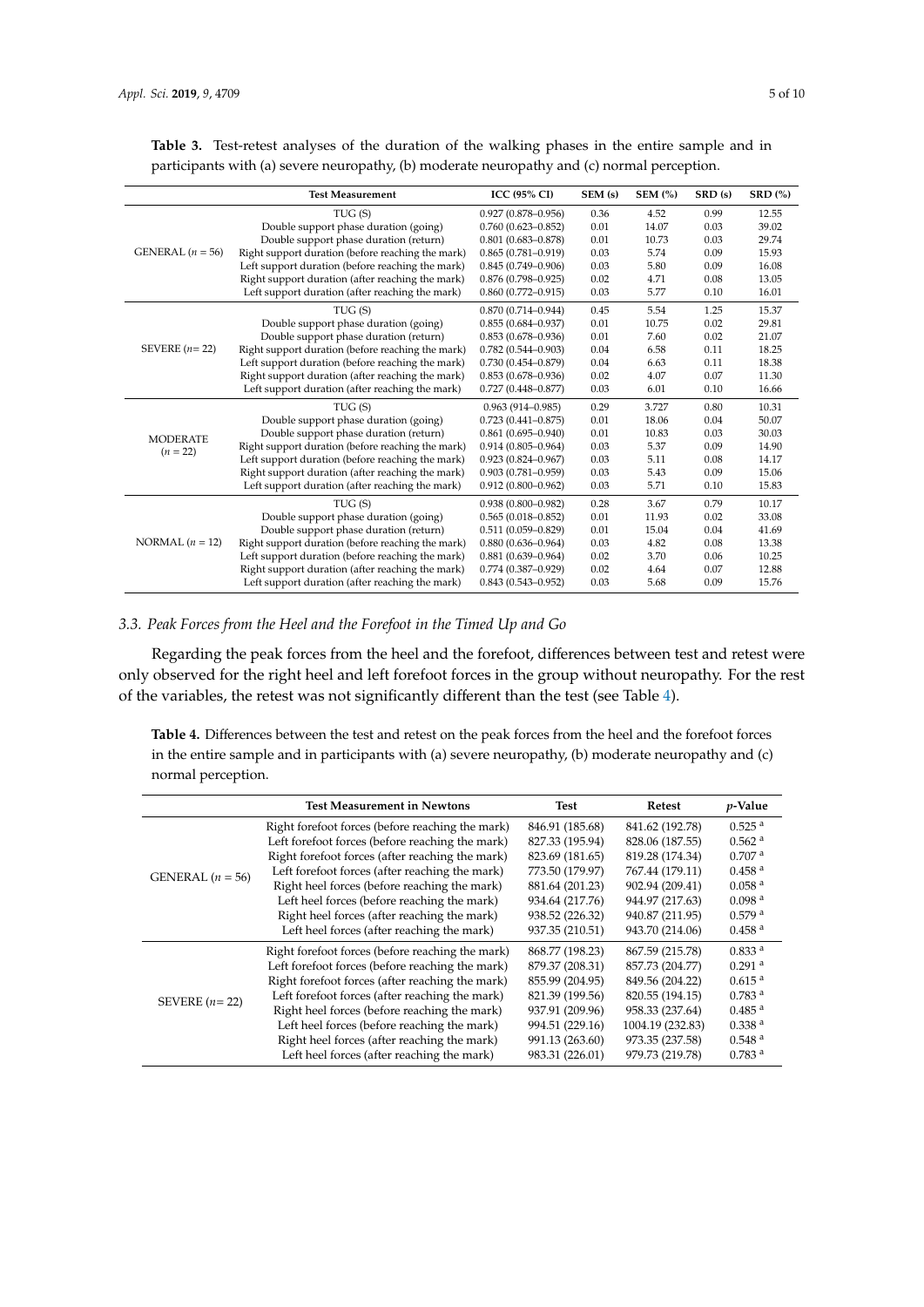|                    | <b>Test Measurement</b>                           | <b>ICC (95% CI)</b>    | SEM (s) | $SEM$ $%$ | SRD (s) | <b>SRD</b> (%) |
|--------------------|---------------------------------------------------|------------------------|---------|-----------|---------|----------------|
|                    | TUG(S)                                            | $0.927(0.878 - 0.956)$ | 0.36    | 4.52      | 0.99    | 12.55          |
|                    | Double support phase duration (going)             | $0.760(0.623 - 0.852)$ | 0.01    | 14.07     | 0.03    | 39.02          |
|                    | Double support phase duration (return)            | $0.801(0.683 - 0.878)$ | 0.01    | 10.73     | 0.03    | 29.74          |
| GENERAL $(n = 56)$ | Right support duration (before reaching the mark) | $0.865(0.781 - 0.919)$ | 0.03    | 5.74      | 0.09    | 15.93          |
|                    | Left support duration (before reaching the mark)  | $0.845(0.749 - 0.906)$ | 0.03    | 5.80      | 0.09    | 16.08          |
|                    | Right support duration (after reaching the mark)  | $0.876(0.798 - 0.925)$ | 0.02    | 4.71      | 0.08    | 13.05          |
|                    | Left support duration (after reaching the mark)   | $0.860(0.772 - 0.915)$ | 0.03    | 5.77      | 0.10    | 16.01          |
|                    | TUG(S)                                            | $0.870(0.714 - 0.944)$ | 0.45    | 5.54      | 1.25    | 15.37          |
|                    | Double support phase duration (going)             | $0.855(0.684 - 0.937)$ | 0.01    | 10.75     | 0.02    | 29.81          |
|                    | Double support phase duration (return)            | $0.853(0.678 - 0.936)$ | 0.01    | 7.60      | 0.02    | 21.07          |
| SEVERE $(n=22)$    | Right support duration (before reaching the mark) | $0.782(0.544 - 0.903)$ | 0.04    | 6.58      | 0.11    | 18.25          |
|                    | Left support duration (before reaching the mark)  | $0.730(0.454 - 0.879)$ | 0.04    | 6.63      | 0.11    | 18.38          |
|                    | Right support duration (after reaching the mark)  | $0.853(0.678 - 0.936)$ | 0.02    | 4.07      | 0.07    | 11.30          |
|                    | Left support duration (after reaching the mark)   | $0.727(0.448 - 0.877)$ | 0.03    | 6.01      | 0.10    | 16.66          |
|                    | TUG(S)                                            | $0.963(914 - 0.985)$   | 0.29    | 3.727     | 0.80    | 10.31          |
|                    | Double support phase duration (going)             | $0.723(0.441 - 0.875)$ | 0.01    | 18.06     | 0.04    | 50.07          |
| <b>MODERATE</b>    | Double support phase duration (return)            | $0.861(0.695 - 0.940)$ | 0.01    | 10.83     | 0.03    | 30.03          |
| $(n = 22)$         | Right support duration (before reaching the mark) | $0.914(0.805 - 0.964)$ | 0.03    | 5.37      | 0.09    | 14.90          |
|                    | Left support duration (before reaching the mark)  | $0.923(0.824 - 0.967)$ | 0.03    | 5.11      | 0.08    | 14.17          |
|                    | Right support duration (after reaching the mark)  | $0.903(0.781 - 0.959)$ | 0.03    | 5.43      | 0.09    | 15.06          |
|                    | Left support duration (after reaching the mark)   | $0.912(0.800 - 0.962)$ | 0.03    | 5.71      | 0.10    | 15.83          |
| NORMAL $(n = 12)$  | TUG(S)                                            | $0.938(0.800 - 0.982)$ | 0.28    | 3.67      | 0.79    | 10.17          |
|                    | Double support phase duration (going)             | $0.565(0.018 - 0.852)$ | 0.01    | 11.93     | 0.02    | 33.08          |
|                    | Double support phase duration (return)            | $0.511(0.059 - 0.829)$ | 0.01    | 15.04     | 0.04    | 41.69          |
|                    | Right support duration (before reaching the mark) | $0.880(0.636 - 0.964)$ | 0.03    | 4.82      | 0.08    | 13.38          |
|                    | Left support duration (before reaching the mark)  | $0.881(0.639 - 0.964)$ | 0.02    | 3.70      | 0.06    | 10.25          |
|                    | Right support duration (after reaching the mark)  | $0.774(0.387 - 0.929)$ | 0.02    | 4.64      | 0.07    | 12.88          |
|                    | Left support duration (after reaching the mark)   | $0.843(0.543 - 0.952)$ | 0.03    | 5.68      | 0.09    | 15.76          |

<span id="page-4-0"></span>**Table 3.** Test-retest analyses of the duration of the walking phases in the entire sample and in participants with (a) severe neuropathy, (b) moderate neuropathy and (c) normal perception.

## *3.3. Peak Forces from the Heel and the Forefoot in the Timed Up and Go*

Regarding the peak forces from the heel and the forefoot, differences between test and retest were only observed for the right heel and left forefoot forces in the group without neuropathy. For the rest of the variables, the retest was not significantly different than the test (see Table [4\)](#page-4-1).

<span id="page-4-1"></span>**Table 4.** Differences between the test and retest on the peak forces from the heel and the forefoot forces in the entire sample and in participants with (a) severe neuropathy, (b) moderate neuropathy and (c) normal perception.

|                    | <b>Test Measurement in Newtons</b>               | Test            | Retest           | $p$ -Value           |
|--------------------|--------------------------------------------------|-----------------|------------------|----------------------|
|                    | Right forefoot forces (before reaching the mark) | 846.91 (185.68) | 841.62 (192.78)  | $0.525$ <sup>a</sup> |
|                    | Left forefoot forces (before reaching the mark)  | 827.33 (195.94) | 828.06 (187.55)  | $0.562$ <sup>a</sup> |
|                    | Right forefoot forces (after reaching the mark)  | 823.69 (181.65) | 819.28 (174.34)  | 0.707 <sup>a</sup>   |
| GENERAL $(n = 56)$ | Left forefoot forces (after reaching the mark)   | 773.50 (179.97) | 767.44 (179.11)  | 0.458 <sup>a</sup>   |
|                    | Right heel forces (before reaching the mark)     | 881.64 (201.23) | 902.94 (209.41)  | 0.058 <sup>a</sup>   |
|                    | Left heel forces (before reaching the mark)      | 934.64 (217.76) | 944.97 (217.63)  | 0.098 <sup>a</sup>   |
|                    | Right heel forces (after reaching the mark)      | 938.52 (226.32) | 940.87 (211.95)  | 0.579 <sup>a</sup>   |
|                    | Left heel forces (after reaching the mark)       | 937.35 (210.51) | 943.70 (214.06)  | 0.458 <sup>a</sup>   |
|                    | Right forefoot forces (before reaching the mark) | 868.77 (198.23) | 867.59 (215.78)  | 0.833 <sup>a</sup>   |
|                    | Left forefoot forces (before reaching the mark)  | 879.37 (208.31) | 857.73 (204.77)  | $0.291$ <sup>a</sup> |
|                    | Right forefoot forces (after reaching the mark)  | 855.99 (204.95) | 849.56 (204.22)  | 0.615 <sup>a</sup>   |
| SEVERE $(n=22)$    | Left forefoot forces (after reaching the mark)   | 821.39 (199.56) | 820.55 (194.15)  | 0.783 <sup>a</sup>   |
|                    | Right heel forces (before reaching the mark)     | 937.91 (209.96) | 958.33 (237.64)  | $0.485$ <sup>a</sup> |
|                    | Left heel forces (before reaching the mark)      | 994.51 (229.16) | 1004.19 (232.83) | 0.338 <sup>a</sup>   |
|                    | Right heel forces (after reaching the mark)      | 991.13 (263.60) | 973.35 (237.58)  | 0.548 <sup>a</sup>   |
|                    | Left heel forces (after reaching the mark)       | 983.31 (226.01) | 979.73 (219.78)  | 0.783 <sup>a</sup>   |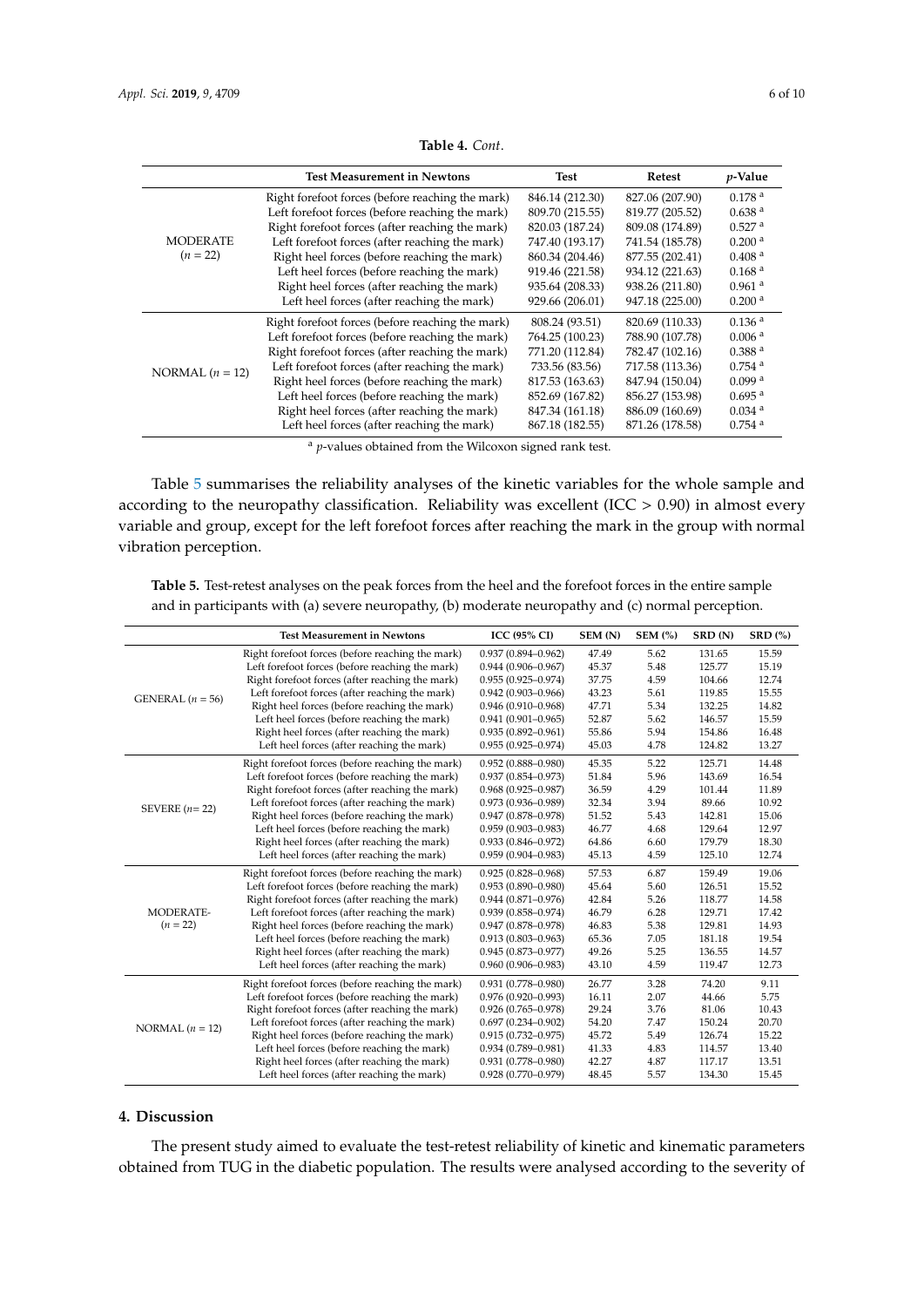| <b>Test Measurement in Newtons</b>               | <b>Test</b>     | Retest          | $p$ -Value           |
|--------------------------------------------------|-----------------|-----------------|----------------------|
| Right forefoot forces (before reaching the mark) | 846.14 (212.30) | 827.06 (207.90) | 0.178 <sup>a</sup>   |
| Left forefoot forces (before reaching the mark)  | 809.70 (215.55) | 819.77 (205.52) | 0.638 <sup>a</sup>   |
| Right forefoot forces (after reaching the mark)  | 820.03 (187.24) | 809.08 (174.89) | 0.527 <sup>a</sup>   |
| Left forefoot forces (after reaching the mark)   | 747.40 (193.17) | 741.54 (185.78) | 0.200 <sup>a</sup>   |
| Right heel forces (before reaching the mark)     | 860.34 (204.46) | 877.55 (202.41) | 0.408 <sup>a</sup>   |
| Left heel forces (before reaching the mark)      | 919.46 (221.58) | 934.12 (221.63) | 0.168 <sup>a</sup>   |
| Right heel forces (after reaching the mark)      | 935.64 (208.33) | 938.26 (211.80) | $0.961$ <sup>a</sup> |
| Left heel forces (after reaching the mark)       | 929.66 (206.01) | 947.18 (225.00) | 0.200 <sup>a</sup>   |
| Right forefoot forces (before reaching the mark) | 808.24 (93.51)  | 820.69 (110.33) | 0.136 <sup>a</sup>   |
| Left forefoot forces (before reaching the mark)  | 764.25 (100.23) | 788.90 (107.78) | 0.006 <sup>a</sup>   |
| Right forefoot forces (after reaching the mark)  | 771.20 (112.84) | 782.47 (102.16) | 0.388 <sup>a</sup>   |
| Left forefoot forces (after reaching the mark)   | 733.56 (83.56)  | 717.58 (113.36) | $0.754$ <sup>a</sup> |
| Right heel forces (before reaching the mark)     | 817.53 (163.63) | 847.94 (150.04) | $0.099$ <sup>a</sup> |
| Left heel forces (before reaching the mark)      | 852.69 (167.82) | 856.27 (153.98) | $0.695$ <sup>a</sup> |
| Right heel forces (after reaching the mark)      | 847.34 (161.18) | 886.09 (160.69) | $0.034$ <sup>a</sup> |
| Left heel forces (after reaching the mark)       | 867.18 (182.55) | 871.26 (178.58) | $0.754$ <sup>a</sup> |
|                                                  |                 |                 |                      |

**Table 4.** *Cont*.

<sup>a</sup> *p*-values obtained from the Wilcoxon signed rank test.

Table [5](#page-5-0) summarises the reliability analyses of the kinetic variables for the whole sample and according to the neuropathy classification. Reliability was excellent (ICC  $> 0.90$ ) in almost every variable and group, except for the left forefoot forces after reaching the mark in the group with normal vibration perception.

<span id="page-5-0"></span>**Table 5.** Test-retest analyses on the peak forces from the heel and the forefoot forces in the entire sample and in participants with (a) severe neuropathy, (b) moderate neuropathy and (c) normal perception.

|                    | <b>Test Measurement in Newtons</b>               | <b>ICC (95% CI)</b>    | SEM (N) | $SEM$ $%$ | SRD (N) | $SRD$ $(\%)$ |
|--------------------|--------------------------------------------------|------------------------|---------|-----------|---------|--------------|
|                    | Right forefoot forces (before reaching the mark) | $0.937(0.894 - 0.962)$ | 47.49   | 5.62      | 131.65  | 15.59        |
|                    | Left forefoot forces (before reaching the mark)  | $0.944(0.906 - 0.967)$ | 45.37   | 5.48      | 125.77  | 15.19        |
|                    | Right forefoot forces (after reaching the mark)  | $0.955(0.925 - 0.974)$ | 37.75   | 4.59      | 104.66  | 12.74        |
| GENERAL $(n = 56)$ | Left forefoot forces (after reaching the mark)   | $0.942(0.903 - 0.966)$ | 43.23   | 5.61      | 119.85  | 15.55        |
|                    | Right heel forces (before reaching the mark)     | $0.946(0.910 - 0.968)$ | 47.71   | 5.34      | 132.25  | 14.82        |
|                    | Left heel forces (before reaching the mark)      | $0.941(0.901 - 0.965)$ | 52.87   | 5.62      | 146.57  | 15.59        |
|                    | Right heel forces (after reaching the mark)      | $0.935(0.892 - 0.961)$ | 55.86   | 5.94      | 154.86  | 16.48        |
|                    | Left heel forces (after reaching the mark)       | $0.955(0.925 - 0.974)$ | 45.03   | 4.78      | 124.82  | 13.27        |
|                    | Right forefoot forces (before reaching the mark) | $0.952(0.888 - 0.980)$ | 45.35   | 5.22      | 125.71  | 14.48        |
|                    | Left forefoot forces (before reaching the mark)  | $0.937(0.854 - 0.973)$ | 51.84   | 5.96      | 143.69  | 16.54        |
|                    | Right forefoot forces (after reaching the mark)  | $0.968(0.925 - 0.987)$ | 36.59   | 4.29      | 101.44  | 11.89        |
| SEVERE $(n=22)$    | Left forefoot forces (after reaching the mark)   | $0.973(0.936 - 0.989)$ | 32.34   | 3.94      | 89.66   | 10.92        |
|                    | Right heel forces (before reaching the mark)     | $0.947(0.878 - 0.978)$ | 51.52   | 5.43      | 142.81  | 15.06        |
|                    | Left heel forces (before reaching the mark)      | $0.959(0.903 - 0.983)$ | 46.77   | 4.68      | 129.64  | 12.97        |
|                    | Right heel forces (after reaching the mark)      | $0.933(0.846 - 0.972)$ | 64.86   | 6.60      | 179.79  | 18.30        |
|                    | Left heel forces (after reaching the mark)       | $0.959(0.904 - 0.983)$ | 45.13   | 4.59      | 125.10  | 12.74        |
|                    | Right forefoot forces (before reaching the mark) | $0.925(0.828 - 0.968)$ | 57.53   | 6.87      | 159.49  | 19.06        |
|                    | Left forefoot forces (before reaching the mark)  | $0.953(0.890 - 0.980)$ | 45.64   | 5.60      | 126.51  | 15.52        |
|                    | Right forefoot forces (after reaching the mark)  | $0.944(0.871 - 0.976)$ | 42.84   | 5.26      | 118.77  | 14.58        |
| MODERATE-          | Left forefoot forces (after reaching the mark)   | $0.939(0.858 - 0.974)$ | 46.79   | 6.28      | 129.71  | 17.42        |
| $(n = 22)$         | Right heel forces (before reaching the mark)     | $0.947(0.878 - 0.978)$ | 46.83   | 5.38      | 129.81  | 14.93        |
|                    | Left heel forces (before reaching the mark)      | $0.913(0.803 - 0.963)$ | 65.36   | 7.05      | 181.18  | 19.54        |
|                    | Right heel forces (after reaching the mark)      | $0.945(0.873 - 0.977)$ | 49.26   | 5.25      | 136.55  | 14.57        |
|                    | Left heel forces (after reaching the mark)       | $0.960(0.906 - 0.983)$ | 43.10   | 4.59      | 119.47  | 12.73        |
| NORMAL $(n = 12)$  | Right forefoot forces (before reaching the mark) | $0.931(0.778 - 0.980)$ | 26.77   | 3.28      | 74.20   | 9.11         |
|                    | Left forefoot forces (before reaching the mark)  | $0.976(0.920 - 0.993)$ | 16.11   | 2.07      | 44.66   | 5.75         |
|                    | Right forefoot forces (after reaching the mark)  | $0.926(0.765 - 0.978)$ | 29.24   | 3.76      | 81.06   | 10.43        |
|                    | Left forefoot forces (after reaching the mark)   | $0.697(0.234 - 0.902)$ | 54.20   | 7.47      | 150.24  | 20.70        |
|                    | Right heel forces (before reaching the mark)     | $0.915(0.732 - 0.975)$ | 45.72   | 5.49      | 126.74  | 15.22        |
|                    | Left heel forces (before reaching the mark)      | $0.934(0.789 - 0.981)$ | 41.33   | 4.83      | 114.57  | 13.40        |
|                    | Right heel forces (after reaching the mark)      | $0.931(0.778 - 0.980)$ | 42.27   | 4.87      | 117.17  | 13.51        |
|                    | Left heel forces (after reaching the mark)       | $0.928(0.770 - 0.979)$ | 48.45   | 5.57      | 134.30  | 15.45        |

# **4. Discussion**

The present study aimed to evaluate the test-retest reliability of kinetic and kinematic parameters obtained from TUG in the diabetic population. The results were analysed according to the severity of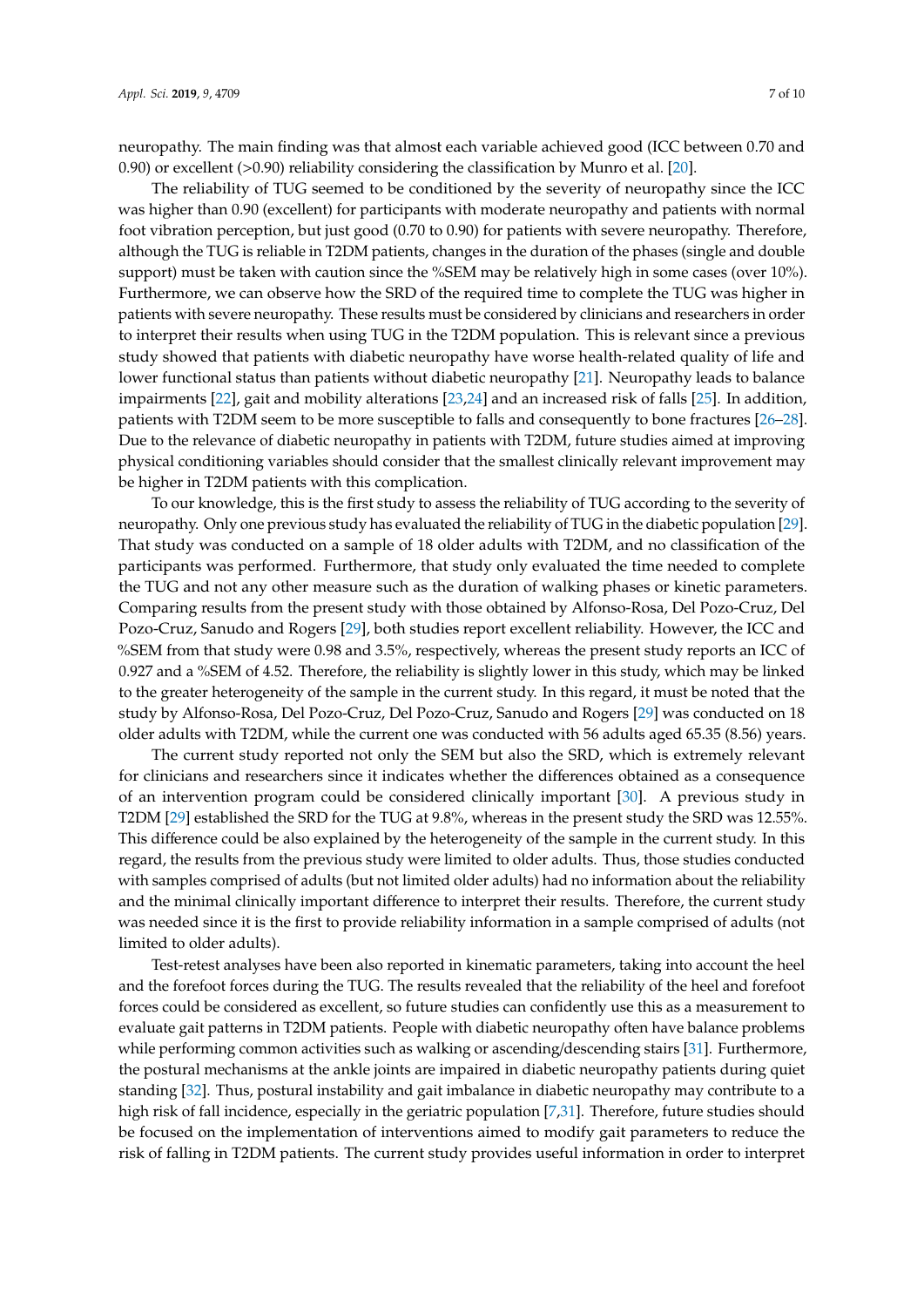neuropathy. The main finding was that almost each variable achieved good (ICC between 0.70 and 0.90) or excellent (>0.90) reliability considering the classification by Munro et al. [\[20\]](#page-8-15).

The reliability of TUG seemed to be conditioned by the severity of neuropathy since the ICC was higher than 0.90 (excellent) for participants with moderate neuropathy and patients with normal foot vibration perception, but just good (0.70 to 0.90) for patients with severe neuropathy. Therefore, although the TUG is reliable in T2DM patients, changes in the duration of the phases (single and double support) must be taken with caution since the %SEM may be relatively high in some cases (over 10%). Furthermore, we can observe how the SRD of the required time to complete the TUG was higher in patients with severe neuropathy. These results must be considered by clinicians and researchers in order to interpret their results when using TUG in the T2DM population. This is relevant since a previous study showed that patients with diabetic neuropathy have worse health-related quality of life and lower functional status than patients without diabetic neuropathy [\[21\]](#page-8-16). Neuropathy leads to balance impairments [\[22\]](#page-8-17), gait and mobility alterations [\[23,](#page-8-18)[24\]](#page-8-19) and an increased risk of falls [\[25\]](#page-8-20). In addition, patients with T2DM seem to be more susceptible to falls and consequently to bone fractures [\[26–](#page-8-21)[28\]](#page-9-0). Due to the relevance of diabetic neuropathy in patients with T2DM, future studies aimed at improving physical conditioning variables should consider that the smallest clinically relevant improvement may be higher in T2DM patients with this complication.

To our knowledge, this is the first study to assess the reliability of TUG according to the severity of neuropathy. Only one previous study has evaluated the reliability of TUG in the diabetic population [\[29\]](#page-9-1). That study was conducted on a sample of 18 older adults with T2DM, and no classification of the participants was performed. Furthermore, that study only evaluated the time needed to complete the TUG and not any other measure such as the duration of walking phases or kinetic parameters. Comparing results from the present study with those obtained by Alfonso-Rosa, Del Pozo-Cruz, Del Pozo-Cruz, Sanudo and Rogers [\[29\]](#page-9-1), both studies report excellent reliability. However, the ICC and %SEM from that study were 0.98 and 3.5%, respectively, whereas the present study reports an ICC of 0.927 and a %SEM of 4.52. Therefore, the reliability is slightly lower in this study, which may be linked to the greater heterogeneity of the sample in the current study. In this regard, it must be noted that the study by Alfonso-Rosa, Del Pozo-Cruz, Del Pozo-Cruz, Sanudo and Rogers [\[29\]](#page-9-1) was conducted on 18 older adults with T2DM, while the current one was conducted with 56 adults aged 65.35 (8.56) years.

The current study reported not only the SEM but also the SRD, which is extremely relevant for clinicians and researchers since it indicates whether the differences obtained as a consequence of an intervention program could be considered clinically important [\[30\]](#page-9-2). A previous study in T2DM [\[29\]](#page-9-1) established the SRD for the TUG at 9.8%, whereas in the present study the SRD was 12.55%. This difference could be also explained by the heterogeneity of the sample in the current study. In this regard, the results from the previous study were limited to older adults. Thus, those studies conducted with samples comprised of adults (but not limited older adults) had no information about the reliability and the minimal clinically important difference to interpret their results. Therefore, the current study was needed since it is the first to provide reliability information in a sample comprised of adults (not limited to older adults).

Test-retest analyses have been also reported in kinematic parameters, taking into account the heel and the forefoot forces during the TUG. The results revealed that the reliability of the heel and forefoot forces could be considered as excellent, so future studies can confidently use this as a measurement to evaluate gait patterns in T2DM patients. People with diabetic neuropathy often have balance problems while performing common activities such as walking or ascending/descending stairs [\[31\]](#page-9-3). Furthermore, the postural mechanisms at the ankle joints are impaired in diabetic neuropathy patients during quiet standing [\[32\]](#page-9-4). Thus, postural instability and gait imbalance in diabetic neuropathy may contribute to a high risk of fall incidence, especially in the geriatric population [\[7,](#page-8-2)[31\]](#page-9-3). Therefore, future studies should be focused on the implementation of interventions aimed to modify gait parameters to reduce the risk of falling in T2DM patients. The current study provides useful information in order to interpret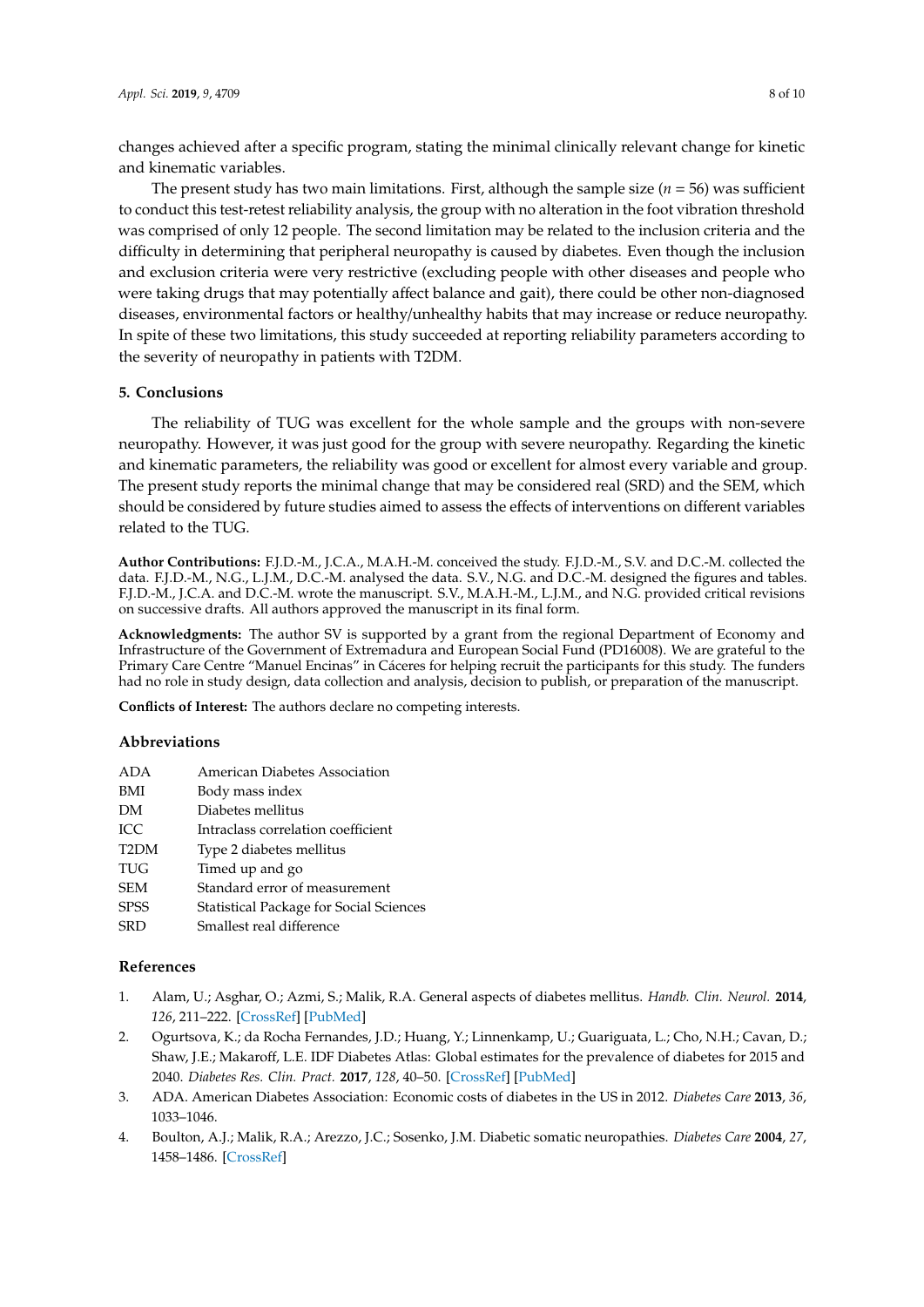changes achieved after a specific program, stating the minimal clinically relevant change for kinetic and kinematic variables.

The present study has two main limitations. First, although the sample size  $(n = 56)$  was sufficient to conduct this test-retest reliability analysis, the group with no alteration in the foot vibration threshold was comprised of only 12 people. The second limitation may be related to the inclusion criteria and the difficulty in determining that peripheral neuropathy is caused by diabetes. Even though the inclusion and exclusion criteria were very restrictive (excluding people with other diseases and people who were taking drugs that may potentially affect balance and gait), there could be other non-diagnosed diseases, environmental factors or healthy/unhealthy habits that may increase or reduce neuropathy. In spite of these two limitations, this study succeeded at reporting reliability parameters according to the severity of neuropathy in patients with T2DM.

## **5. Conclusions**

The reliability of TUG was excellent for the whole sample and the groups with non-severe neuropathy. However, it was just good for the group with severe neuropathy. Regarding the kinetic and kinematic parameters, the reliability was good or excellent for almost every variable and group. The present study reports the minimal change that may be considered real (SRD) and the SEM, which should be considered by future studies aimed to assess the effects of interventions on different variables related to the TUG.

**Author Contributions:** F.J.D.-M., J.C.A., M.A.H.-M. conceived the study. F.J.D.-M., S.V. and D.C.-M. collected the data. F.J.D.-M., N.G., L.J.M., D.C.-M. analysed the data. S.V., N.G. and D.C.-M. designed the figures and tables. F.J.D.-M., J.C.A. and D.C.-M. wrote the manuscript. S.V., M.A.H.-M., L.J.M., and N.G. provided critical revisions on successive drafts. All authors approved the manuscript in its final form.

**Acknowledgments:** The author SV is supported by a grant from the regional Department of Economy and Infrastructure of the Government of Extremadura and European Social Fund (PD16008). We are grateful to the Primary Care Centre "Manuel Encinas" in Cáceres for helping recruit the participants for this study. The funders had no role in study design, data collection and analysis, decision to publish, or preparation of the manuscript.

**Conflicts of Interest:** The authors declare no competing interests.

## **Abbreviations**

| ADA               | American Diabetes Association                  |
|-------------------|------------------------------------------------|
| BMI               | Body mass index                                |
| DM                | Diabetes mellitus                              |
| ICC               | Intraclass correlation coefficient             |
| T <sub>2</sub> DM | Type 2 diabetes mellitus                       |
| TUG               | Timed up and go                                |
| SEM               | Standard error of measurement                  |
| <b>SPSS</b>       | <b>Statistical Package for Social Sciences</b> |
| $\cap$            | $\sigma$ 11 $\sigma$ 1 1.66                    |

SRD Smallest real difference

## **References**

- <span id="page-7-0"></span>1. Alam, U.; Asghar, O.; Azmi, S.; Malik, R.A. General aspects of diabetes mellitus. *Handb. Clin. Neurol.* **2014**, *126*, 211–222. [\[CrossRef\]](http://dx.doi.org/10.1016/b978-0-444-53480-4.00015-1) [\[PubMed\]](http://www.ncbi.nlm.nih.gov/pubmed/25410224)
- <span id="page-7-1"></span>2. Ogurtsova, K.; da Rocha Fernandes, J.D.; Huang, Y.; Linnenkamp, U.; Guariguata, L.; Cho, N.H.; Cavan, D.; Shaw, J.E.; Makaroff, L.E. IDF Diabetes Atlas: Global estimates for the prevalence of diabetes for 2015 and 2040. *Diabetes Res. Clin. Pract.* **2017**, *128*, 40–50. [\[CrossRef\]](http://dx.doi.org/10.1016/j.diabres.2017.03.024) [\[PubMed\]](http://www.ncbi.nlm.nih.gov/pubmed/28437734)
- <span id="page-7-2"></span>3. ADA. American Diabetes Association: Economic costs of diabetes in the US in 2012. *Diabetes Care* **2013**, *36*, 1033–1046.
- <span id="page-7-3"></span>4. Boulton, A.J.; Malik, R.A.; Arezzo, J.C.; Sosenko, J.M. Diabetic somatic neuropathies. *Diabetes Care* **2004**, *27*, 1458–1486. [\[CrossRef\]](http://dx.doi.org/10.2337/diacare.27.6.1458)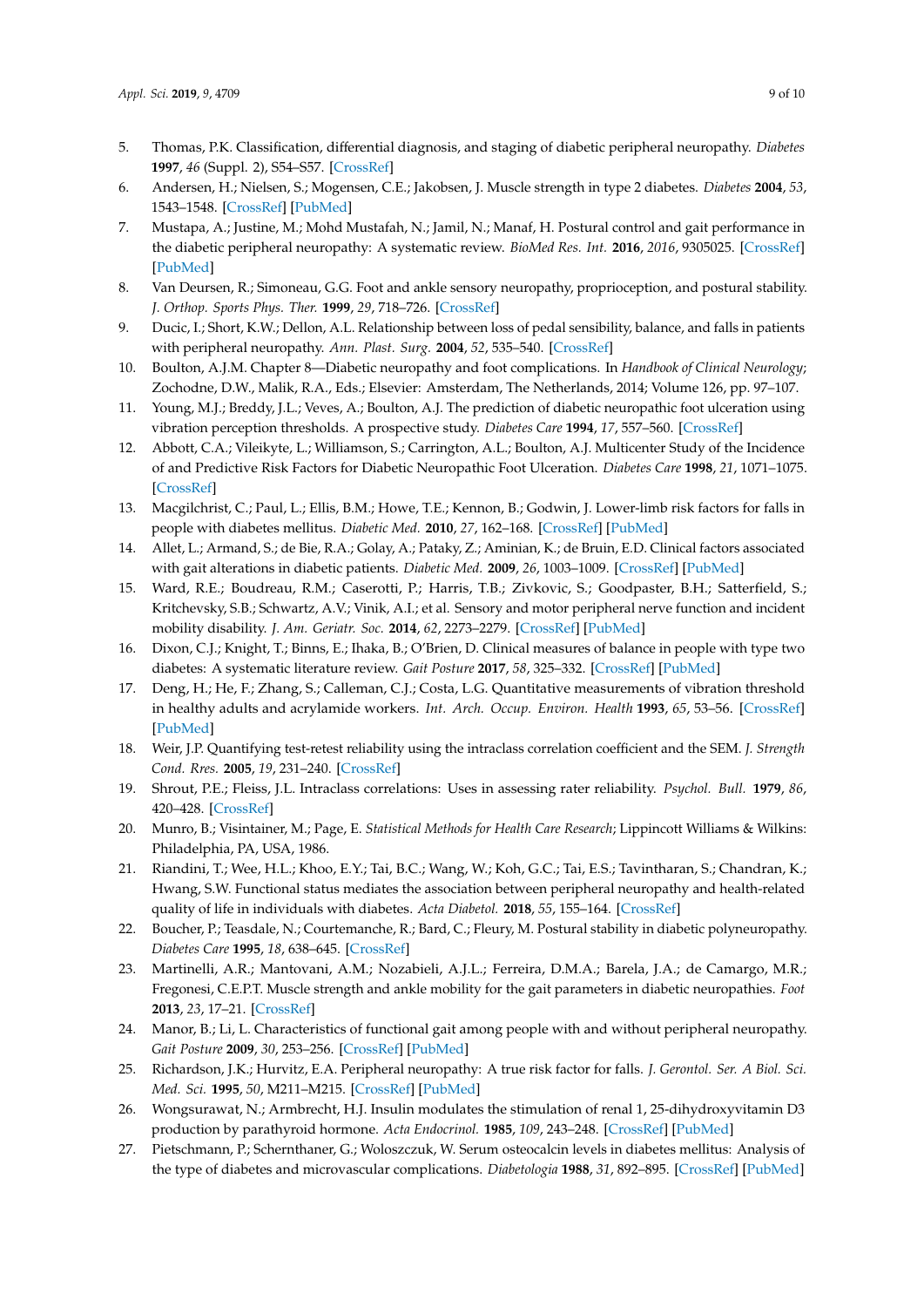- <span id="page-8-0"></span>5. Thomas, P.K. Classification, differential diagnosis, and staging of diabetic peripheral neuropathy. *Diabetes* **1997**, *46* (Suppl. 2), S54–S57. [\[CrossRef\]](http://dx.doi.org/10.2337/diab.46.2.S54)
- <span id="page-8-1"></span>6. Andersen, H.; Nielsen, S.; Mogensen, C.E.; Jakobsen, J. Muscle strength in type 2 diabetes. *Diabetes* **2004**, *53*, 1543–1548. [\[CrossRef\]](http://dx.doi.org/10.2337/diabetes.53.6.1543) [\[PubMed\]](http://www.ncbi.nlm.nih.gov/pubmed/15161759)
- <span id="page-8-2"></span>7. Mustapa, A.; Justine, M.; Mohd Mustafah, N.; Jamil, N.; Manaf, H. Postural control and gait performance in the diabetic peripheral neuropathy: A systematic review. *BioMed Res. Int.* **2016**, *2016*, 9305025. [\[CrossRef\]](http://dx.doi.org/10.1155/2016/9305025) [\[PubMed\]](http://www.ncbi.nlm.nih.gov/pubmed/27525281)
- <span id="page-8-3"></span>8. Van Deursen, R.; Simoneau, G.G. Foot and ankle sensory neuropathy, proprioception, and postural stability. *J. Orthop. Sports Phys. Ther.* **1999**, *29*, 718–726. [\[CrossRef\]](http://dx.doi.org/10.2519/jospt.1999.29.12.718)
- <span id="page-8-4"></span>9. Ducic, I.; Short, K.W.; Dellon, A.L. Relationship between loss of pedal sensibility, balance, and falls in patients with peripheral neuropathy. *Ann. Plast. Surg.* **2004**, *52*, 535–540. [\[CrossRef\]](http://dx.doi.org/10.1097/01.sap.0000122654.65588.f0)
- <span id="page-8-5"></span>10. Boulton, A.J.M. Chapter 8—Diabetic neuropathy and foot complications. In *Handbook of Clinical Neurology*; Zochodne, D.W., Malik, R.A., Eds.; Elsevier: Amsterdam, The Netherlands, 2014; Volume 126, pp. 97–107.
- <span id="page-8-6"></span>11. Young, M.J.; Breddy, J.L.; Veves, A.; Boulton, A.J. The prediction of diabetic neuropathic foot ulceration using vibration perception thresholds. A prospective study. *Diabetes Care* **1994**, *17*, 557–560. [\[CrossRef\]](http://dx.doi.org/10.2337/diacare.17.6.557)
- <span id="page-8-7"></span>12. Abbott, C.A.; Vileikyte, L.; Williamson, S.; Carrington, A.L.; Boulton, A.J. Multicenter Study of the Incidence of and Predictive Risk Factors for Diabetic Neuropathic Foot Ulceration. *Diabetes Care* **1998**, *21*, 1071–1075. [\[CrossRef\]](http://dx.doi.org/10.2337/diacare.21.7.1071)
- <span id="page-8-8"></span>13. Macgilchrist, C.; Paul, L.; Ellis, B.M.; Howe, T.E.; Kennon, B.; Godwin, J. Lower-limb risk factors for falls in people with diabetes mellitus. *Diabetic Med.* **2010**, *27*, 162–168. [\[CrossRef\]](http://dx.doi.org/10.1111/j.1464-5491.2009.02914.x) [\[PubMed\]](http://www.ncbi.nlm.nih.gov/pubmed/20546259)
- <span id="page-8-9"></span>14. Allet, L.; Armand, S.; de Bie, R.A.; Golay, A.; Pataky, Z.; Aminian, K.; de Bruin, E.D. Clinical factors associated with gait alterations in diabetic patients. *Diabetic Med.* **2009**, *26*, 1003–1009. [\[CrossRef\]](http://dx.doi.org/10.1111/j.1464-5491.2009.02811.x) [\[PubMed\]](http://www.ncbi.nlm.nih.gov/pubmed/19900232)
- <span id="page-8-10"></span>15. Ward, R.E.; Boudreau, R.M.; Caserotti, P.; Harris, T.B.; Zivkovic, S.; Goodpaster, B.H.; Satterfield, S.; Kritchevsky, S.B.; Schwartz, A.V.; Vinik, A.I.; et al. Sensory and motor peripheral nerve function and incident mobility disability. *J. Am. Geriatr. Soc.* **2014**, *62*, 2273–2279. [\[CrossRef\]](http://dx.doi.org/10.1111/jgs.13152) [\[PubMed\]](http://www.ncbi.nlm.nih.gov/pubmed/25482096)
- <span id="page-8-11"></span>16. Dixon, C.J.; Knight, T.; Binns, E.; Ihaka, B.; O'Brien, D. Clinical measures of balance in people with type two diabetes: A systematic literature review. *Gait Posture* **2017**, *58*, 325–332. [\[CrossRef\]](http://dx.doi.org/10.1016/j.gaitpost.2017.08.022) [\[PubMed\]](http://www.ncbi.nlm.nih.gov/pubmed/28865394)
- <span id="page-8-12"></span>17. Deng, H.; He, F.; Zhang, S.; Calleman, C.J.; Costa, L.G. Quantitative measurements of vibration threshold in healthy adults and acrylamide workers. *Int. Arch. Occup. Environ. Health* **1993**, *65*, 53–56. [\[CrossRef\]](http://dx.doi.org/10.1007/BF00586059) [\[PubMed\]](http://www.ncbi.nlm.nih.gov/pubmed/8394840)
- <span id="page-8-13"></span>18. Weir, J.P. Quantifying test-retest reliability using the intraclass correlation coefficient and the SEM. *J. Strength Cond. Rres.* **2005**, *19*, 231–240. [\[CrossRef\]](http://dx.doi.org/10.1519/15184.1)
- <span id="page-8-14"></span>19. Shrout, P.E.; Fleiss, J.L. Intraclass correlations: Uses in assessing rater reliability. *Psychol. Bull.* **1979**, *86*, 420–428. [\[CrossRef\]](http://dx.doi.org/10.1037/0033-2909.86.2.420)
- <span id="page-8-15"></span>20. Munro, B.; Visintainer, M.; Page, E. *Statistical Methods for Health Care Research*; Lippincott Williams & Wilkins: Philadelphia, PA, USA, 1986.
- <span id="page-8-16"></span>21. Riandini, T.; Wee, H.L.; Khoo, E.Y.; Tai, B.C.; Wang, W.; Koh, G.C.; Tai, E.S.; Tavintharan, S.; Chandran, K.; Hwang, S.W. Functional status mediates the association between peripheral neuropathy and health-related quality of life in individuals with diabetes. *Acta Diabetol.* **2018**, *55*, 155–164. [\[CrossRef\]](http://dx.doi.org/10.1007/s00592-017-1077-8)
- <span id="page-8-17"></span>22. Boucher, P.; Teasdale, N.; Courtemanche, R.; Bard, C.; Fleury, M. Postural stability in diabetic polyneuropathy. *Diabetes Care* **1995**, *18*, 638–645. [\[CrossRef\]](http://dx.doi.org/10.2337/diacare.18.5.638)
- <span id="page-8-18"></span>23. Martinelli, A.R.; Mantovani, A.M.; Nozabieli, A.J.L.; Ferreira, D.M.A.; Barela, J.A.; de Camargo, M.R.; Fregonesi, C.E.P.T. Muscle strength and ankle mobility for the gait parameters in diabetic neuropathies. *Foot* **2013**, *23*, 17–21. [\[CrossRef\]](http://dx.doi.org/10.1016/j.foot.2012.11.001)
- <span id="page-8-19"></span>24. Manor, B.; Li, L. Characteristics of functional gait among people with and without peripheral neuropathy. *Gait Posture* **2009**, *30*, 253–256. [\[CrossRef\]](http://dx.doi.org/10.1016/j.gaitpost.2009.04.011) [\[PubMed\]](http://www.ncbi.nlm.nih.gov/pubmed/19473845)
- <span id="page-8-20"></span>25. Richardson, J.K.; Hurvitz, E.A. Peripheral neuropathy: A true risk factor for falls. *J. Gerontol. Ser. A Biol. Sci. Med. Sci.* **1995**, *50*, M211–M215. [\[CrossRef\]](http://dx.doi.org/10.1093/gerona/50A.4.M211) [\[PubMed\]](http://www.ncbi.nlm.nih.gov/pubmed/7614243)
- <span id="page-8-21"></span>26. Wongsurawat, N.; Armbrecht, H.J. Insulin modulates the stimulation of renal 1, 25-dihydroxyvitamin D3 production by parathyroid hormone. *Acta Endocrinol.* **1985**, *109*, 243–248. [\[CrossRef\]](http://dx.doi.org/10.1530/acta.0.1090243) [\[PubMed\]](http://www.ncbi.nlm.nih.gov/pubmed/3893009)
- 27. Pietschmann, P.; Schernthaner, G.; Woloszczuk, W. Serum osteocalcin levels in diabetes mellitus: Analysis of the type of diabetes and microvascular complications. *Diabetologia* **1988**, *31*, 892–895. [\[CrossRef\]](http://dx.doi.org/10.1007/BF00265373) [\[PubMed\]](http://www.ncbi.nlm.nih.gov/pubmed/3266486)